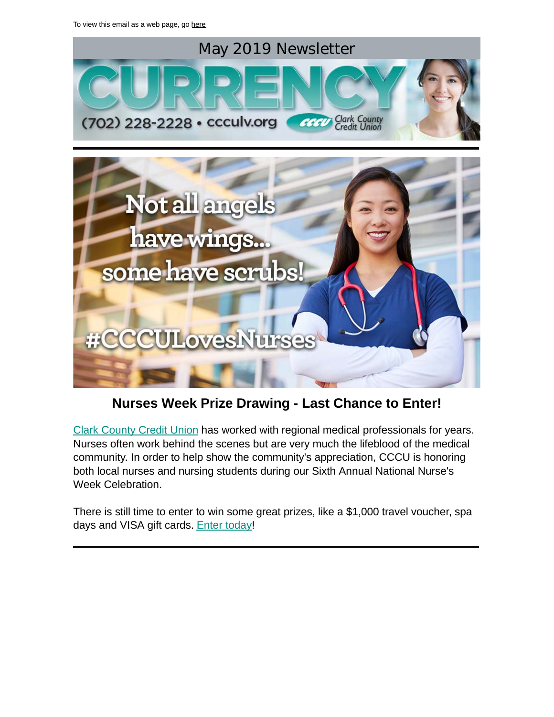

# **Nurses Week Prize Drawing - Last Chance to Enter!**

[Clark County Credit Union](https://www.ccculv.org/) has worked with regional medical professionals for years. Nurses often work behind the scenes but are very much the lifeblood of the medical community. In order to help show the community's appreciation, CCCU is honoring both local nurses and nursing students during our Sixth Annual National Nurse's Week Celebration.

There is still time to enter to win some great prizes, like a \$1,000 travel voucher, spa days and VISA gift cards. [Enter today!](http://www.ccculv.org/Nurses-Week.aspx)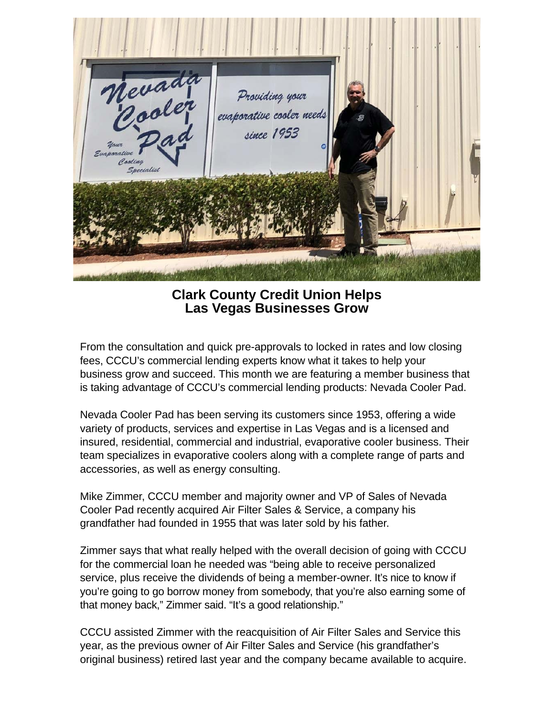

**Clark County Credit Union Helps Las Vegas Businesses Grow**

From the consultation and quick pre-approvals to locked in rates and low closing fees, CCCU's commercial lending experts know what it takes to help your business grow and succeed. This month we are featuring a member business that is taking advantage of CCCU's commercial lending products: Nevada Cooler Pad.

Nevada Cooler Pad has been serving its customers since 1953, offering a wide variety of products, services and expertise in Las Vegas and is a licensed and insured, residential, commercial and industrial, evaporative cooler business. Their team specializes in evaporative coolers along with a complete range of parts and accessories, as well as energy consulting.

Mike Zimmer, CCCU member and majority owner and VP of Sales of Nevada Cooler Pad recently acquired Air Filter Sales & Service, a company his grandfather had founded in 1955 that was later sold by his father.

Zimmer says that what really helped with the overall decision of going with CCCU for the commercial loan he needed was "being able to receive personalized service, plus receive the dividends of being a member-owner. It's nice to know if you're going to go borrow money from somebody, that you're also earning some of that money back," Zimmer said. "It's a good relationship."

CCCU assisted Zimmer with the reacquisition of Air Filter Sales and Service this year, as the previous owner of Air Filter Sales and Service (his grandfather's original business) retired last year and the company became available to acquire.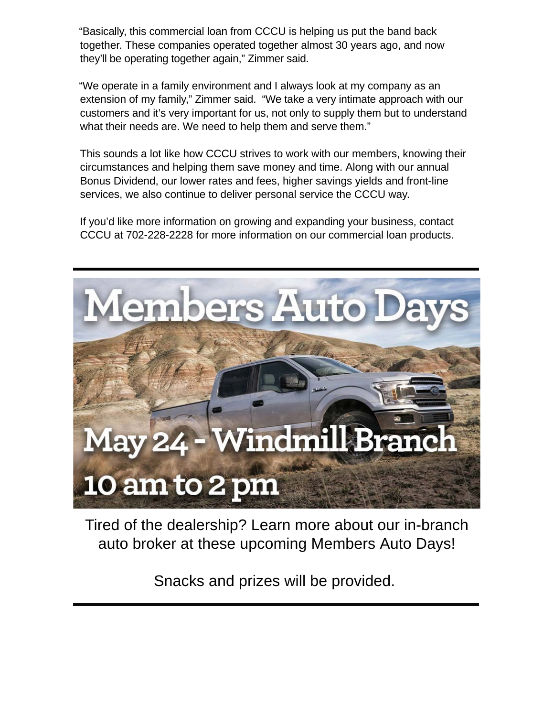"Basically, this commercial loan from CCCU is helping us put the band back together. These companies operated together almost 30 years ago, and now they'll be operating together again," Zimmer said.

"We operate in a family environment and I always look at my company as an extension of my family," Zimmer said. "We take a very intimate approach with our customers and it's very important for us, not only to supply them but to understand what their needs are. We need to help them and serve them."

This sounds a lot like how CCCU strives to work with our members, knowing their circumstances and helping them save money and time. Along with our annual Bonus Dividend, our lower rates and fees, higher savings yields and front-line services, we also continue to deliver personal service the CCCU way.

If you'd like more information on growing and expanding your business, contact CCCU at 702-228-2228 for more information on our commercial loan products.



Tired of the dealership? Learn more about our in-branch auto broker at these upcoming Members Auto Days!

Snacks and prizes will be provided.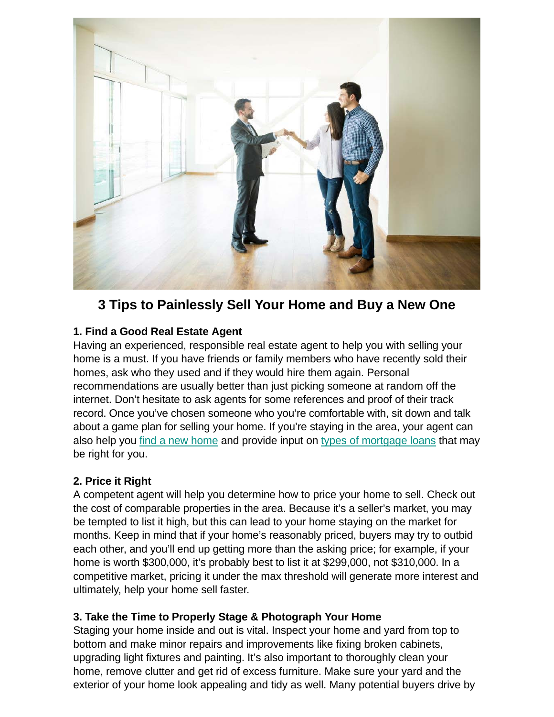

# **3 Tips to Painlessly Sell Your Home and Buy a New One**

## **1. Find a Good Real Estate Agent**

Having an experienced, responsible real estate agent to help you with selling your home is a must. If you have friends or family members who have recently sold their homes, ask who they used and if they would hire them again. Personal recommendations are usually better than just picking someone at random off the internet. Don't hesitate to ask agents for some references and proof of their track record. Once you've chosen someone who you're comfortable with, sit down and talk about a game plan for selling your home. If you're staying in the area, your agent can also help you [find a new home](https://www.ccculv.org/Mortgage-Loans.aspx#Land-and-Home-Construction) and provide input on [types of mortgage loans](https://www.ccculv.org/CustomContent.aspx?Name=3%20Steps%20to%20Choosing%20the%20Best%20Mortgage%20Loan) that may be right for you.

### **2. Price it Right**

A competent agent will help you determine how to price your home to sell. Check out the cost of comparable properties in the area. Because it's a seller's market, you may be tempted to list it high, but this can lead to your home staying on the market for months. Keep in mind that if your home's reasonably priced, buyers may try to outbid each other, and you'll end up getting more than the asking price; for example, if your home is worth \$300,000, it's probably best to list it at \$299,000, not \$310,000. In a competitive market, pricing it under the max threshold will generate more interest and ultimately, help your home sell faster.

### **3. Take the Time to Properly Stage & Photograph Your Home**

Staging your home inside and out is vital. Inspect your home and yard from top to bottom and make minor repairs and improvements like fixing broken cabinets, upgrading light fixtures and painting. It's also important to thoroughly clean your home, remove clutter and get rid of excess furniture. Make sure your yard and the exterior of your home look appealing and tidy as well. Many potential buyers drive by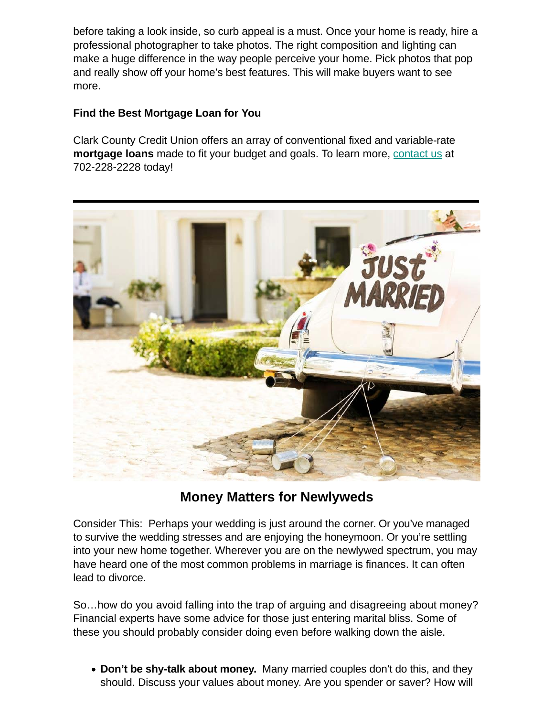before taking a look inside, so curb appeal is a must. Once your home is ready, hire a professional photographer to take photos. The right composition and lighting can make a huge difference in the way people perceive your home. Pick photos that pop and really show off your home's best features. This will make buyers want to see more.

### **Find the Best Mortgage Loan for You**

Clark County Credit Union offers an array of conventional fixed and variable-rate **mortgage loans** made to fit your budget and goals. To learn more, [contact us](https://www.ccculv.org/Contact-Us.aspx) at 702-228-2228 today!



# **Money Matters for Newlyweds**

Consider This: Perhaps your wedding is just around the corner. Or you've managed to survive the wedding stresses and are enjoying the honeymoon. Or you're settling into your new home together. Wherever you are on the newlywed spectrum, you may have heard one of the most common problems in marriage is finances. It can often lead to divorce.

So…how do you avoid falling into the trap of arguing and disagreeing about money? Financial experts have some advice for those just entering marital bliss. Some of these you should probably consider doing even before walking down the aisle.

**Don't be shy-talk about money.** Many married couples don't do this, and they should. Discuss your values about money. Are you spender or saver? How will